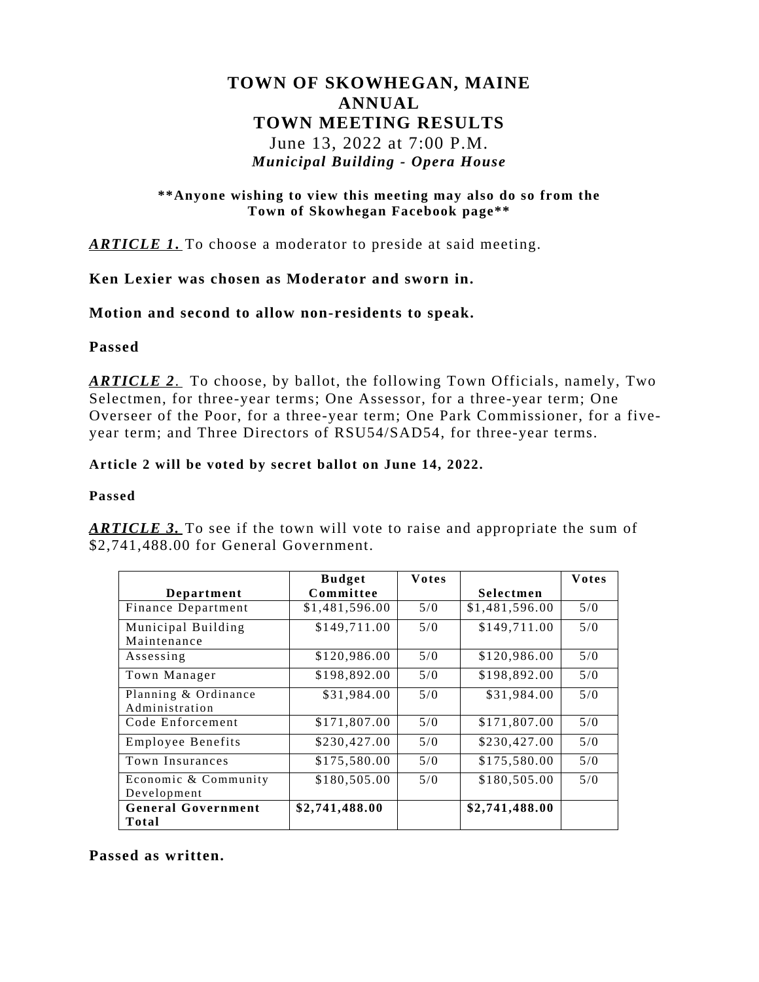# **TOWN OF SKOWHEGAN, MAINE ANNUAL TOWN MEETING RESULTS** June 13, 2022 at 7:00 P.M.

# *Municipal Building - Opera House*

#### **\*\*Anyone wishing to view this meeting may also do so from the Town of Skowhegan Facebook page\*\***

*ARTICLE 1***.** To choose a moderator to preside at said meeting.

### **Ken Lexier was chosen as Moderator and sworn in.**

### **Motion and second to allow non-residents to speak.**

### **Passed**

*ARTICLE 2*. To choose, by ballot, the following Town Officials, namely, Two Selectmen, for three-year terms; One Assessor, for a three-year term; One Overseer of the Poor, for a three-year term; One Park Commissioner, for a fiveyear term; and Three Directors of RSU54/SAD54, for three-year terms.

#### **Article 2 will be voted by secret ballot on June 14, 2022.**

#### **Passed**

|                           | <b>Budget</b>  | <b>Votes</b> |                | Votes |
|---------------------------|----------------|--------------|----------------|-------|
| Department                | Committee      |              | Selectmen      |       |
| Finance Department        | \$1,481,596.00 | 5/0          | \$1,481,596.00 | 5/0   |
| Municipal Building        | \$149,711.00   | 5/0          | \$149,711.00   | 5/0   |
| Maintenance               |                |              |                |       |
| Assessing                 | \$120,986.00   | 5/0          | \$120,986.00   | 5/0   |
| Town Manager              | \$198,892.00   | 5/0          | \$198,892.00   | 5/0   |
| Planning & Ordinance      | \$31,984.00    | 5/0          | \$31,984.00    | 5/0   |
| Administration            |                |              |                |       |
| Code Enforcement          | \$171,807.00   | 5/0          | \$171,807.00   | 5/0   |
| <b>Employee Benefits</b>  | \$230,427.00   | 5/0          | \$230,427.00   | 5/0   |
| Town Insurances           | \$175,580.00   | 5/0          | \$175,580.00   | 5/0   |
| Economic & Community      | \$180,505.00   | 5/0          | \$180,505.00   | 5/0   |
| Development               |                |              |                |       |
| <b>General Government</b> | \$2,741,488.00 |              | \$2,741,488.00 |       |
| Total                     |                |              |                |       |

*ARTICLE* 3. To see if the town will vote to raise and appropriate the sum of \$2,741,488.00 for General Government.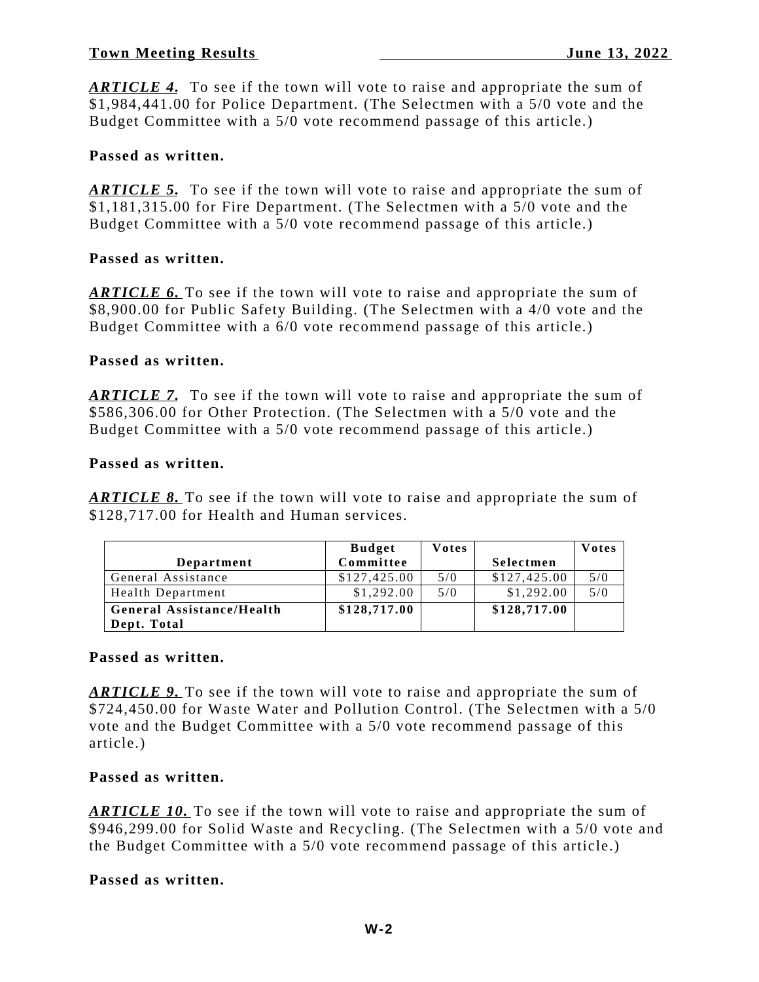*ARTICLE 4.* To see if the town will vote to raise and appropriate the sum of \$1,984,441.00 for Police Department. (The Selectmen with a 5/0 vote and the Budget Committee with a 5/0 vote recommend passage of this article.)

# **Passed as written.**

*ARTICLE* 5. To see if the town will vote to raise and appropriate the sum of \$1,181,315.00 for Fire Department. (The Selectmen with a 5/0 vote and the Budget Committee with a 5/0 vote recommend passage of this article.)

# **Passed as written.**

*ARTICLE 6.* To see if the town will vote to raise and appropriate the sum of \$8,900.00 for Public Safety Building. (The Selectmen with a 4/0 vote and the Budget Committee with a 6/0 vote recommend passage of this article.)

### **Passed as written.**

*ARTICLE 7.* To see if the town will vote to raise and appropriate the sum of \$586,306.00 for Other Protection. (The Selectmen with a 5/0 vote and the Budget Committee with a 5/0 vote recommend passage of this article.)

### **Passed as written.**

*ARTICLE 8.* To see if the town will vote to raise and appropriate the sum of \$128,717.00 for Health and Human services.

|                           | <b>Budget</b> | <b>Votes</b> |              | <b>Votes</b> |
|---------------------------|---------------|--------------|--------------|--------------|
| Department                | Committee     |              | Selectmen    |              |
| General Assistance        | \$127,425.00  | 5/0          | \$127,425.00 | 5/0          |
| <b>Health Department</b>  | \$1,292.00    | 5/0          | \$1,292.00   | 5/0          |
| General Assistance/Health | \$128,717.00  |              | \$128,717.00 |              |
| Dept. Total               |               |              |              |              |

#### **Passed as written.**

*ARTICLE 9.* To see if the town will vote to raise and appropriate the sum of \$724,450.00 for Waste Water and Pollution Control. (The Selectmen with a 5/0 vote and the Budget Committee with a 5/0 vote recommend passage of this article.)

# **Passed as written.**

*ARTICLE 10.* To see if the town will vote to raise and appropriate the sum of \$946,299.00 for Solid Waste and Recycling. (The Selectmen with a 5/0 vote and the Budget Committee with a 5/0 vote recommend passage of this article.)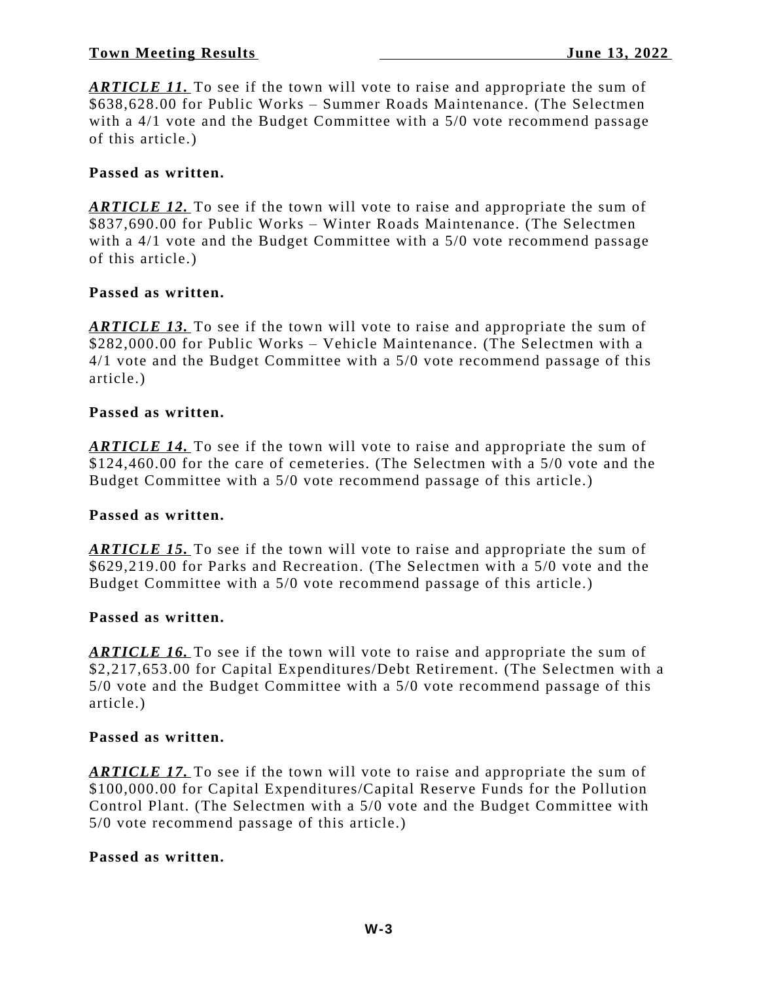*ARTICLE 11.* To see if the town will vote to raise and appropriate the sum of \$638,628.00 for Public Works – Summer Roads Maintenance. (The Selectmen with a 4/1 vote and the Budget Committee with a 5/0 vote recommend passage of this article.)

### **Passed as written.**

*ARTICLE 12.* To see if the town will vote to raise and appropriate the sum of \$837,690.00 for Public Works – Winter Roads Maintenance. (The Selectmen with a 4/1 vote and the Budget Committee with a 5/0 vote recommend passage of this article.)

### **Passed as written.**

*ARTICLE 13.* To see if the town will vote to raise and appropriate the sum of \$282,000.00 for Public Works – Vehicle Maintenance. (The Selectmen with a 4/1 vote and the Budget Committee with a 5/0 vote recommend passage of this article.)

#### **Passed as written.**

*ARTICLE 14.* To see if the town will vote to raise and appropriate the sum of \$124,460.00 for the care of cemeteries. (The Selectmen with a 5/0 vote and the Budget Committee with a 5/0 vote recommend passage of this article.)

#### **Passed as written.**

*ARTICLE 15.* To see if the town will vote to raise and appropriate the sum of \$629,219.00 for Parks and Recreation. (The Selectmen with a 5/0 vote and the Budget Committee with a 5/0 vote recommend passage of this article.)

#### **Passed as written.**

*ARTICLE 16.* To see if the town will vote to raise and appropriate the sum of \$2,217,653.00 for Capital Expenditures/Debt Retirement. (The Selectmen with a 5/0 vote and the Budget Committee with a 5/0 vote recommend passage of this article.)

#### **Passed as written.**

*ARTICLE 17.* To see if the town will vote to raise and appropriate the sum of \$100,000.00 for Capital Expenditures/Capital Reserve Funds for the Pollution Control Plant. (The Selectmen with a 5/0 vote and the Budget Committee with 5/0 vote recommend passage of this article.)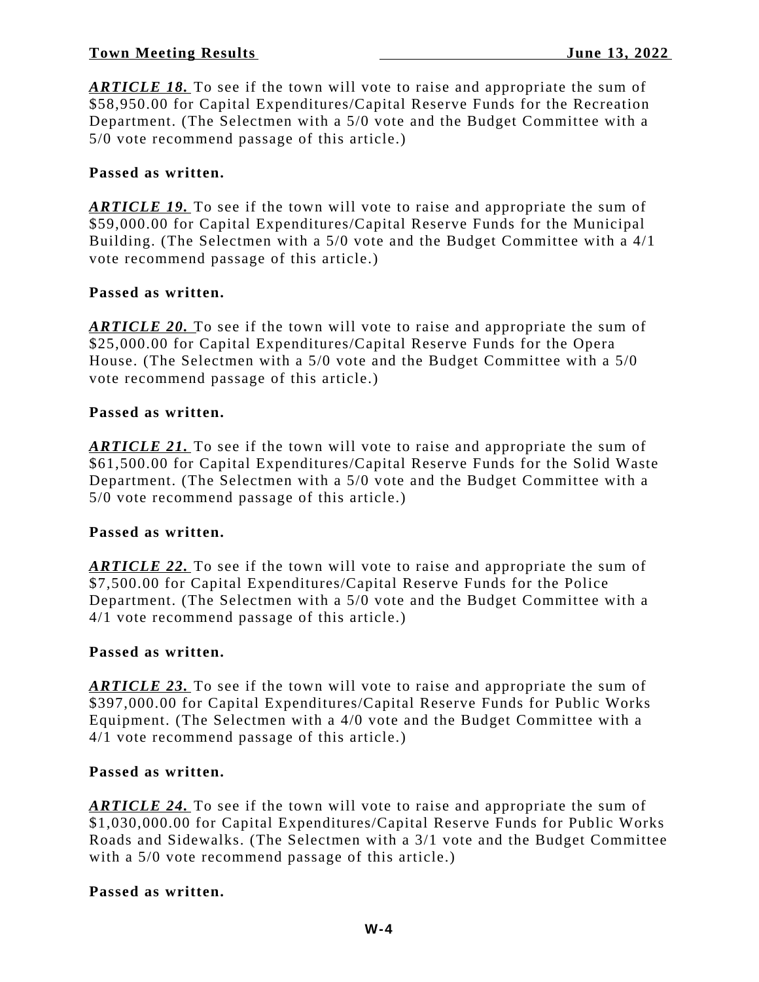*ARTICLE 18.* To see if the town will vote to raise and appropriate the sum of \$58,950.00 for Capital Expenditures/Capital Reserve Funds for the Recreation Department. (The Selectmen with a 5/0 vote and the Budget Committee with a 5/0 vote recommend passage of this article.)

### **Passed as written.**

*ARTICLE 19.* To see if the town will vote to raise and appropriate the sum of \$59,000.00 for Capital Expenditures/Capital Reserve Funds for the Municipal Building. (The Selectmen with a 5/0 vote and the Budget Committee with a 4/1 vote recommend passage of this article.)

### **Passed as written.**

*ARTICLE 20.* To see if the town will vote to raise and appropriate the sum of \$25,000.00 for Capital Expenditures/Capital Reserve Funds for the Opera House. (The Selectmen with a 5/0 vote and the Budget Committee with a 5/0 vote recommend passage of this article.)

#### **Passed as written.**

*ARTICLE 21.* To see if the town will vote to raise and appropriate the sum of \$61,500.00 for Capital Expenditures/Capital Reserve Funds for the Solid Waste Department. (The Selectmen with a 5/0 vote and the Budget Committee with a 5/0 vote recommend passage of this article.)

#### **Passed as written.**

*ARTICLE 22.* To see if the town will vote to raise and appropriate the sum of \$7,500.00 for Capital Expenditures/Capital Reserve Funds for the Police Department. (The Selectmen with a 5/0 vote and the Budget Committee with a 4/1 vote recommend passage of this article.)

#### **Passed as written.**

*ARTICLE 23.* To see if the town will vote to raise and appropriate the sum of \$397,000.00 for Capital Expenditures/Capital Reserve Funds for Public Works Equipment. (The Selectmen with a 4/0 vote and the Budget Committee with a 4/1 vote recommend passage of this article.)

#### **Passed as written.**

*ARTICLE 24.* To see if the town will vote to raise and appropriate the sum of \$1,030,000.00 for Capital Expenditures/Capital Reserve Funds for Public Works Roads and Sidewalks. (The Selectmen with a 3/1 vote and the Budget Committee with a 5/0 vote recommend passage of this article.)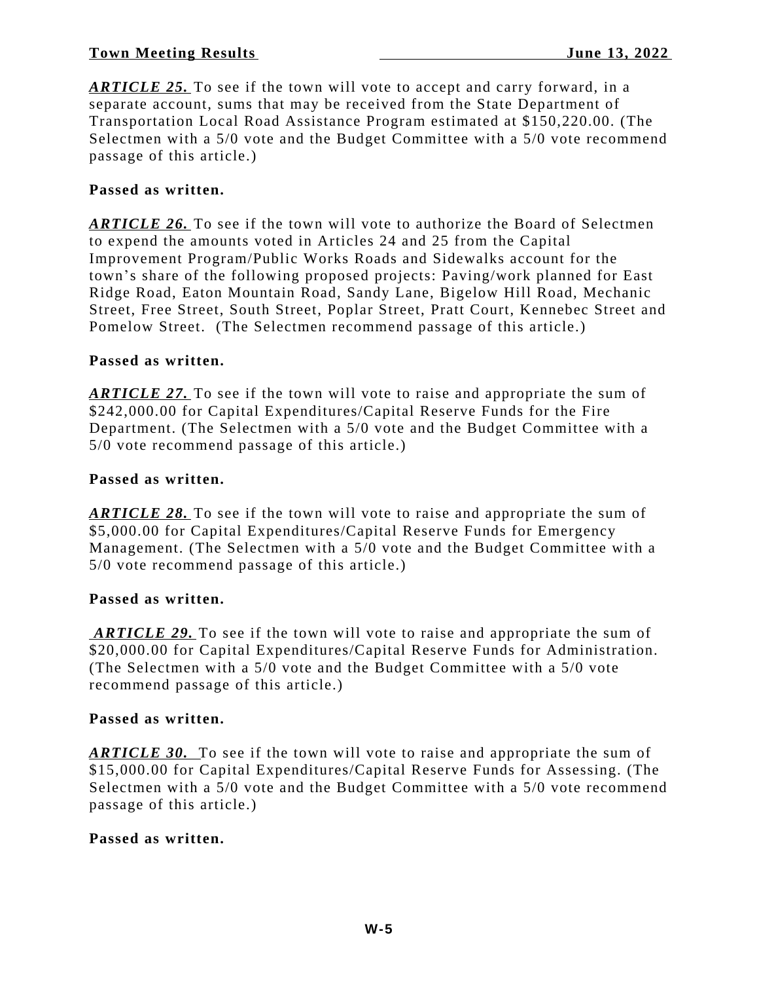*ARTICLE 25.* To see if the town will vote to accept and carry forward, in a separate account, sums that may be received from the State Department of Transportation Local Road Assistance Program estimated at \$150,220.00. (The Selectmen with a 5/0 vote and the Budget Committee with a 5/0 vote recommend passage of this article.)

### **Passed as written.**

*ARTICLE 26.* To see if the town will vote to authorize the Board of Selectmen to expend the amounts voted in Articles 24 and 25 from the Capital Improvement Program/Public Works Roads and Sidewalks account for the town's share of the following proposed projects: Paving/work planned for East Ridge Road, Eaton Mountain Road, Sandy Lane, Bigelow Hill Road, Mechanic Street, Free Street, South Street, Poplar Street, Pratt Court, Kennebec Street and Pomelow Street. (The Selectmen recommend passage of this article.)

### **Passed as written.**

*ARTICLE 27.* To see if the town will vote to raise and appropriate the sum of \$242,000.00 for Capital Expenditures/Capital Reserve Funds for the Fire Department. (The Selectmen with a 5/0 vote and the Budget Committee with a 5/0 vote recommend passage of this article.)

#### **Passed as written.**

*ARTICLE 28.* To see if the town will vote to raise and appropriate the sum of \$5,000.00 for Capital Expenditures/Capital Reserve Funds for Emergency Management. (The Selectmen with a 5/0 vote and the Budget Committee with a 5/0 vote recommend passage of this article.)

#### **Passed as written.**

*ARTICLE 29.* To see if the town will vote to raise and appropriate the sum of \$20,000.00 for Capital Expenditures/Capital Reserve Funds for Administration. (The Selectmen with a 5/0 vote and the Budget Committee with a 5/0 vote recommend passage of this article.)

#### **Passed as written.**

*ARTICLE 30.* To see if the town will vote to raise and appropriate the sum of \$15,000.00 for Capital Expenditures/Capital Reserve Funds for Assessing. (The Selectmen with a 5/0 vote and the Budget Committee with a 5/0 vote recommend passage of this article.)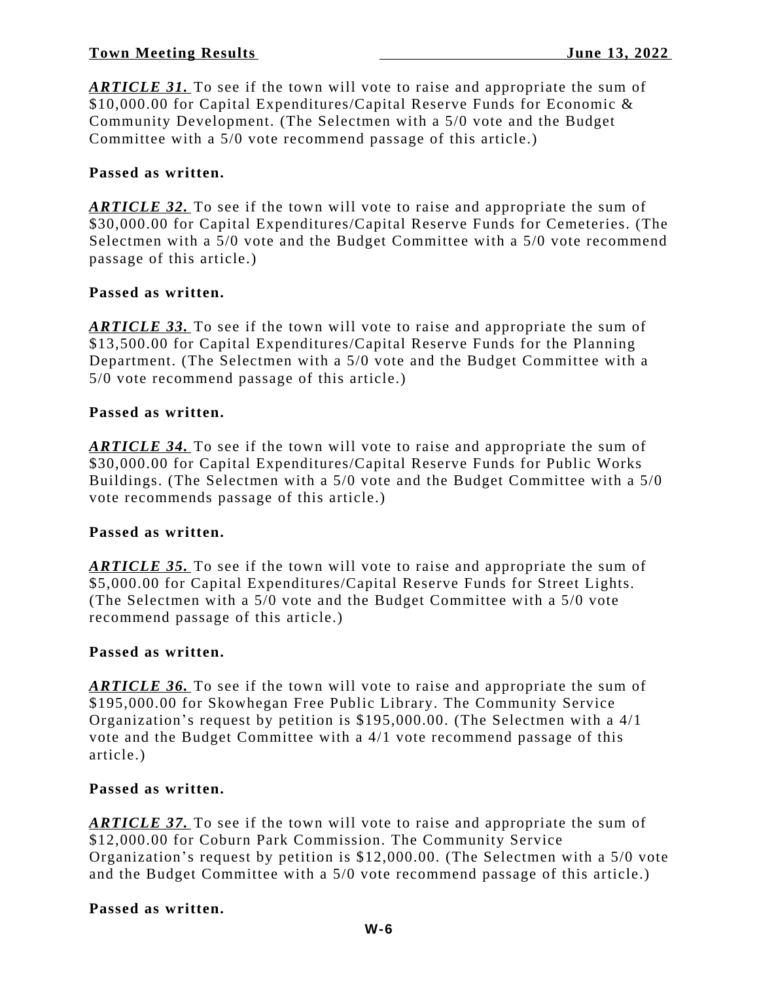*ARTICLE 31.* To see if the town will vote to raise and appropriate the sum of \$10,000.00 for Capital Expenditures/Capital Reserve Funds for Economic & Community Development. (The Selectmen with a 5/0 vote and the Budget Committee with a 5/0 vote recommend passage of this article.)

# **Passed as written.**

*ARTICLE 32.* To see if the town will vote to raise and appropriate the sum of \$30,000.00 for Capital Expenditures/Capital Reserve Funds for Cemeteries. (The Selectmen with a 5/0 vote and the Budget Committee with a 5/0 vote recommend passage of this article.)

# **Passed as written.**

*ARTICLE 33.* To see if the town will vote to raise and appropriate the sum of \$13,500.00 for Capital Expenditures/Capital Reserve Funds for the Planning Department. (The Selectmen with a 5/0 vote and the Budget Committee with a 5/0 vote recommend passage of this article.)

### **Passed as written.**

*ARTICLE 34.* To see if the town will vote to raise and appropriate the sum of \$30,000.00 for Capital Expenditures/Capital Reserve Funds for Public Works Buildings. (The Selectmen with a 5/0 vote and the Budget Committee with a 5/0 vote recommends passage of this article.)

# **Passed as written.**

*ARTICLE 35.* To see if the town will vote to raise and appropriate the sum of \$5,000.00 for Capital Expenditures/Capital Reserve Funds for Street Lights. (The Selectmen with a 5/0 vote and the Budget Committee with a 5/0 vote recommend passage of this article.)

#### **Passed as written.**

*ARTICLE 36.* To see if the town will vote to raise and appropriate the sum of \$195,000.00 for Skowhegan Free Public Library. The Community Service Organization's request by petition is \$195,000.00. (The Selectmen with a 4/1 vote and the Budget Committee with a 4/1 vote recommend passage of this article.)

#### **Passed as written.**

*ARTICLE 37.* To see if the town will vote to raise and appropriate the sum of \$12,000.00 for Coburn Park Commission. The Community Service Organization's request by petition is \$12,000.00. (The Selectmen with a 5/0 vote and the Budget Committee with a 5/0 vote recommend passage of this article.)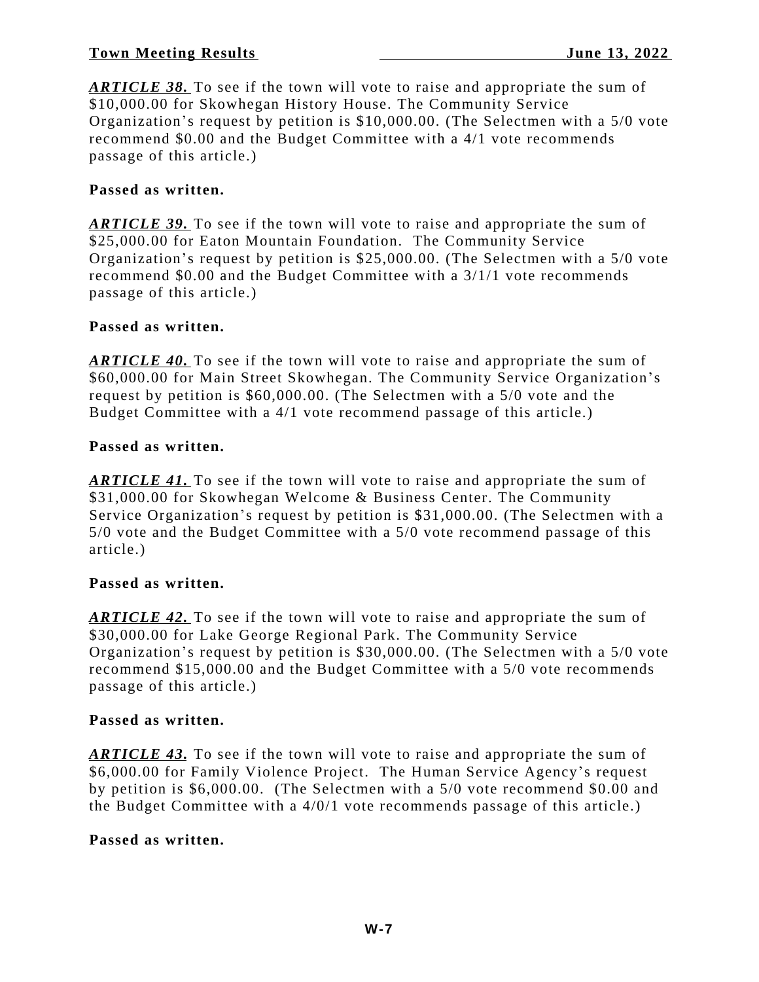*ARTICLE 38.* To see if the town will vote to raise and appropriate the sum of \$10,000.00 for Skowhegan History House. The Community Service Organization's request by petition is \$10,000.00. (The Selectmen with a 5/0 vote recommend \$0.00 and the Budget Committee with a 4/1 vote recommends passage of this article.)

### **Passed as written.**

*ARTICLE 39.* To see if the town will vote to raise and appropriate the sum of \$25,000.00 for Eaton Mountain Foundation. The Community Service Organization's request by petition is \$25,000.00. (The Selectmen with a 5/0 vote recommend \$0.00 and the Budget Committee with a 3/1/1 vote recommends passage of this article.)

### **Passed as written.**

*ARTICLE 40.* To see if the town will vote to raise and appropriate the sum of \$60,000.00 for Main Street Skowhegan. The Community Service Organization's request by petition is \$60,000.00. (The Selectmen with a 5/0 vote and the Budget Committee with a 4/1 vote recommend passage of this article.)

#### **Passed as written.**

*ARTICLE 41.* To see if the town will vote to raise and appropriate the sum of \$31,000.00 for Skowhegan Welcome & Business Center. The Community Service Organization's request by petition is \$31,000.00. (The Selectmen with a 5/0 vote and the Budget Committee with a 5/0 vote recommend passage of this article.)

#### **Passed as written.**

*ARTICLE 42.* To see if the town will vote to raise and appropriate the sum of \$30,000.00 for Lake George Regional Park. The Community Service Organization's request by petition is \$30,000.00. (The Selectmen with a 5/0 vote recommend \$15,000.00 and the Budget Committee with a 5/0 vote recommends passage of this article.)

#### **Passed as written.**

*ARTICLE 43.* To see if the town will vote to raise and appropriate the sum of \$6,000.00 for Family Violence Project. The Human Service Agency's request by petition is \$6,000.00. (The Selectmen with a 5/0 vote recommend \$0.00 and the Budget Committee with a 4/0/1 vote recommends passage of this article.)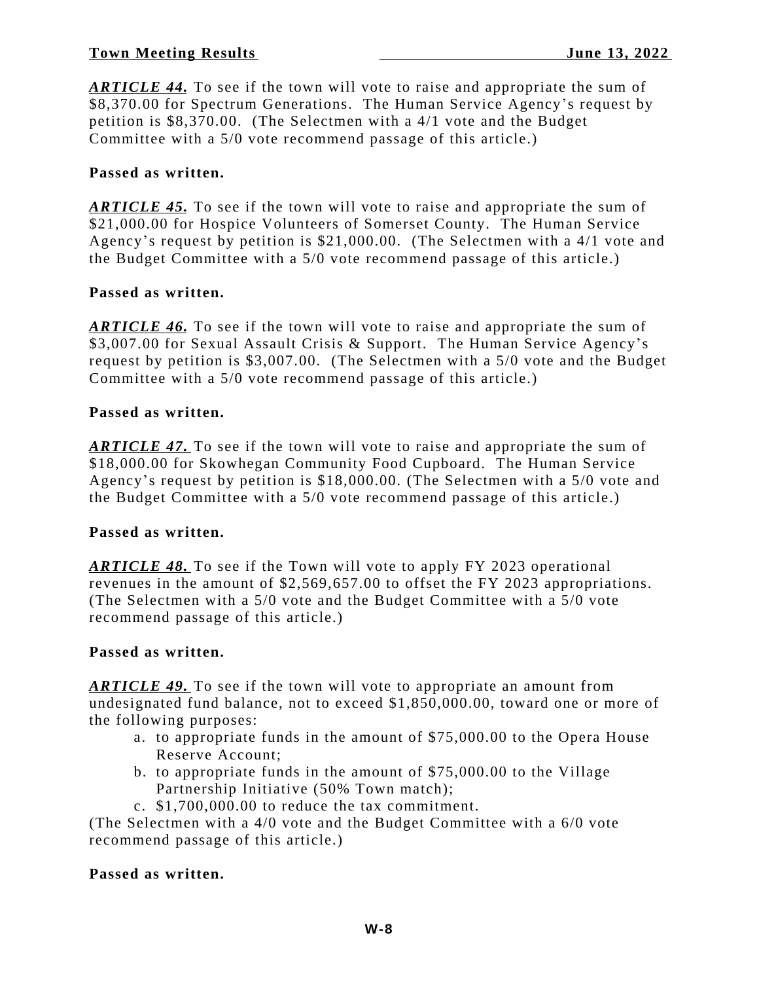*ARTICLE 44.* To see if the town will vote to raise and appropriate the sum of \$8,370.00 for Spectrum Generations. The Human Service Agency's request by petition is \$8,370.00. (The Selectmen with a 4/1 vote and the Budget Committee with a 5/0 vote recommend passage of this article.)

### **Passed as written.**

*ARTICLE 45.* To see if the town will vote to raise and appropriate the sum of \$21,000.00 for Hospice Volunteers of Somerset County. The Human Service Agency's request by petition is \$21,000.00. (The Selectmen with a 4/1 vote and the Budget Committee with a 5/0 vote recommend passage of this article.)

### **Passed as written.**

*ARTICLE 46.* To see if the town will vote to raise and appropriate the sum of \$3,007.00 for Sexual Assault Crisis & Support. The Human Service Agency's request by petition is \$3,007.00. (The Selectmen with a 5/0 vote and the Budget Committee with a 5/0 vote recommend passage of this article.)

#### **Passed as written.**

*ARTICLE 47.* To see if the town will vote to raise and appropriate the sum of \$18,000.00 for Skowhegan Community Food Cupboard. The Human Service Agency's request by petition is \$18,000.00. (The Selectmen with a 5/0 vote and the Budget Committee with a 5/0 vote recommend passage of this article.)

# **Passed as written.**

*ARTICLE 48.* To see if the Town will vote to apply FY 2023 operational revenues in the amount of \$2,569,657.00 to offset the FY 2023 appropriations. (The Selectmen with a 5/0 vote and the Budget Committee with a 5/0 vote recommend passage of this article.)

#### **Passed as written.**

*ARTICLE 49.* To see if the town will vote to appropriate an amount from undesignated fund balance, not to exceed \$1,850,000.00, toward one or more of the following purposes:

- a. to appropriate funds in the amount of \$75,000.00 to the Opera House Reserve Account;
- b. to appropriate funds in the amount of \$75,000.00 to the Village Partnership Initiative (50% Town match);
- c. \$1,700,000.00 to reduce the tax commitment.

(The Selectmen with a 4/0 vote and the Budget Committee with a 6/0 vote recommend passage of this article.)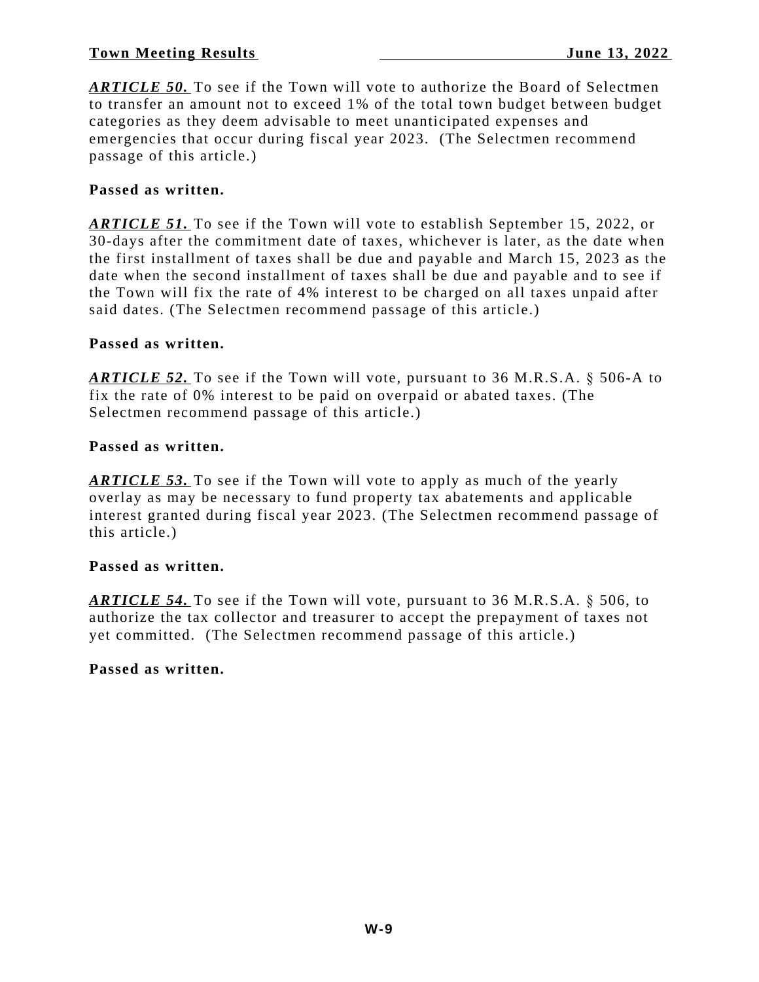*ARTICLE 50.* To see if the Town will vote to authorize the Board of Selectmen to transfer an amount not to exceed 1% of the total town budget between budget categories as they deem advisable to meet unanticipated expenses and emergencies that occur during fiscal year 2023. (The Selectmen recommend passage of this article.)

### **Passed as written.**

*ARTICLE 51.* To see if the Town will vote to establish September 15, 2022, or 30-days after the commitment date of taxes, whichever is later, as the date when the first installment of taxes shall be due and payable and March 15, 2023 as the date when the second installment of taxes shall be due and payable and to see if the Town will fix the rate of 4% interest to be charged on all taxes unpaid after said dates. (The Selectmen recommend passage of this article.)

### **Passed as written.**

*ARTICLE 52.* To see if the Town will vote, pursuant to 36 M.R.S.A. § 506-A to fix the rate of 0% interest to be paid on overpaid or abated taxes. (The Selectmen recommend passage of this article.)

### **Passed as written.**

*ARTICLE 53.* To see if the Town will vote to apply as much of the yearly overlay as may be necessary to fund property tax abatements and applicable interest granted during fiscal year 2023. (The Selectmen recommend passage of this article.)

# **Passed as written.**

*ARTICLE 54.* To see if the Town will vote, pursuant to 36 M.R.S.A. § 506, to authorize the tax collector and treasurer to accept the prepayment of taxes not yet committed. (The Selectmen recommend passage of this article.)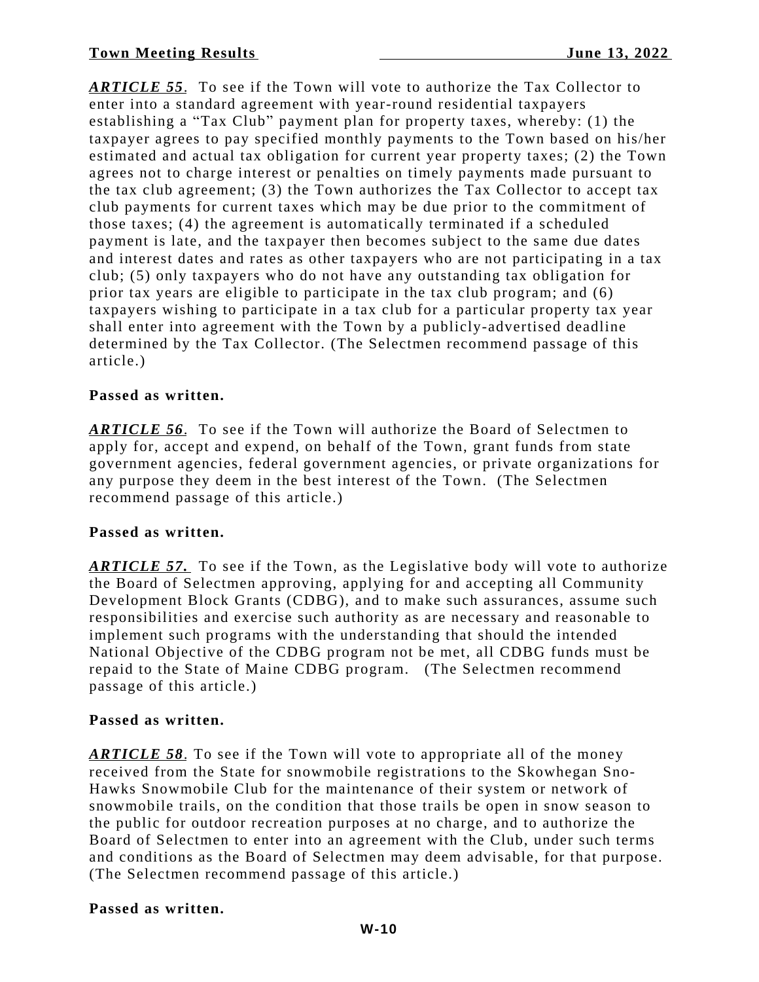*ARTICLE 55*. To see if the Town will vote to authorize the Tax Collector to enter into a standard agreement with year-round residential taxpayers establishing a "Tax Club" payment plan for property taxes, whereby: (1) the taxpayer agrees to pay specified monthly payments to the Town based on his/her estimated and actual tax obligation for current year property taxes; (2) the Town agrees not to charge interest or penalties on timely payments made pursuant to the tax club agreement; (3) the Town authorizes the Tax Collector to accept tax club payments for current taxes which may be due prior to the commitment of those taxes; (4) the agreement is automatically terminated if a scheduled payment is late, and the taxpayer then becomes subject to the same due dates and interest dates and rates as other taxpayers who are not participating in a tax club; (5) only taxpayers who do not have any outstanding tax obligation for prior tax years are eligible to participate in the tax club program; and (6) taxpayers wishing to participate in a tax club for a particular property tax year shall enter into agreement with the Town by a publicly-advertised deadline determined by the Tax Collector. (The Selectmen recommend passage of this article.)

# **Passed as written.**

*ARTICLE 56*. To see if the Town will authorize the Board of Selectmen to apply for, accept and expend, on behalf of the Town, grant funds from state government agencies, federal government agencies, or private organizations for any purpose they deem in the best interest of the Town. (The Selectmen recommend passage of this article.)

# **Passed as written.**

*ARTICLE 57.* To see if the Town, as the Legislative body will vote to authorize the Board of Selectmen approving, applying for and accepting all Community Development Block Grants (CDBG), and to make such assurances, assume such responsibilities and exercise such authority as are necessary and reasonable to implement such programs with the understanding that should the intended National Objective of the CDBG program not be met, all CDBG funds must be repaid to the State of Maine CDBG program. (The Selectmen recommend passage of this article.)

# **Passed as written.**

*ARTICLE 58*. To see if the Town will vote to appropriate all of the money received from the State for snowmobile registrations to the Skowhegan Sno-Hawks Snowmobile Club for the maintenance of their system or network of snowmobile trails, on the condition that those trails be open in snow season to the public for outdoor recreation purposes at no charge, and to authorize the Board of Selectmen to enter into an agreement with the Club, under such terms and conditions as the Board of Selectmen may deem advisable, for that purpose. (The Selectmen recommend passage of this article.)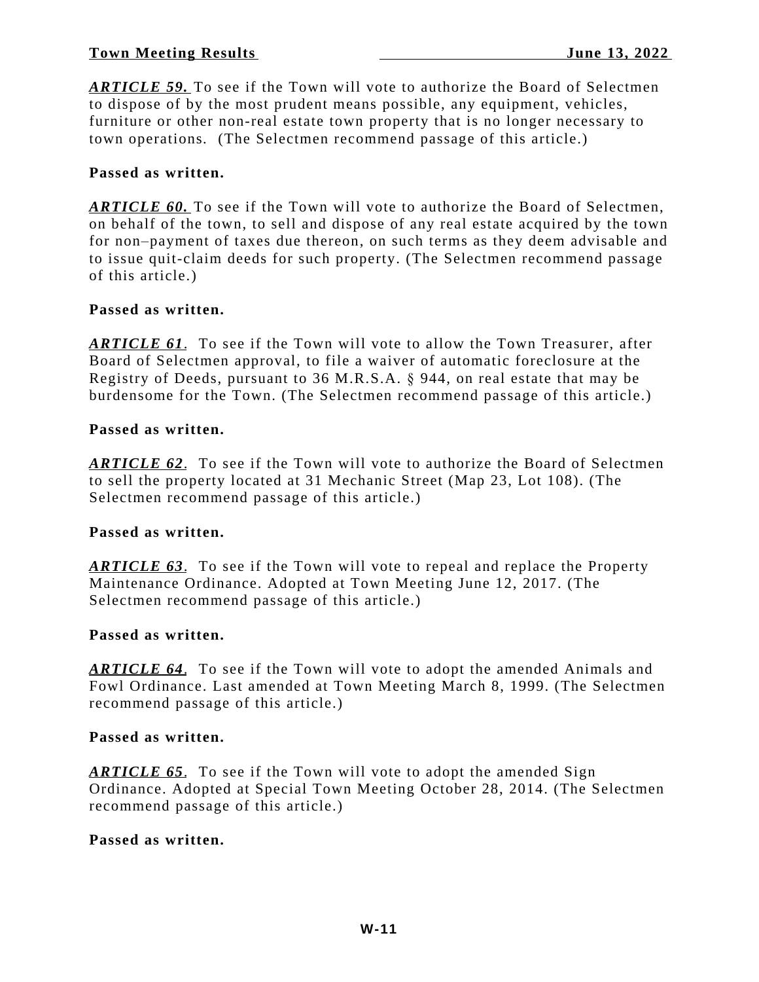*ARTICLE 59.* To see if the Town will vote to authorize the Board of Selectmen to dispose of by the most prudent means possible, any equipment, vehicles, furniture or other non-real estate town property that is no longer necessary to town operations*.* (The Selectmen recommend passage of this article.)

# **Passed as written.**

*ARTICLE 60.* To see if the Town will vote to authorize the Board of Selectmen, on behalf of the town, to sell and dispose of any real estate acquired by the town for non–payment of taxes due thereon, on such terms as they deem advisable and to issue quit-claim deeds for such property. (The Selectmen recommend passage of this article.)

# **Passed as written.**

*ARTICLE 61*. To see if the Town will vote to allow the Town Treasurer, after Board of Selectmen approval, to file a waiver of automatic foreclosure at the Registry of Deeds, pursuant to 36 M.R.S.A. § 944, on real estate that may be burdensome for the Town. (The Selectmen recommend passage of this article.)

# **Passed as written.**

*ARTICLE 62*. To see if the Town will vote to authorize the Board of Selectmen to sell the property located at 31 Mechanic Street (Map 23, Lot 108). (The Selectmen recommend passage of this article.)

# **Passed as written.**

*ARTICLE 63*. To see if the Town will vote to repeal and replace the Property Maintenance Ordinance. Adopted at Town Meeting June 12, 2017. (The Selectmen recommend passage of this article.)

#### **Passed as written.**

*ARTICLE 64*. To see if the Town will vote to adopt the amended Animals and Fowl Ordinance. Last amended at Town Meeting March 8, 1999. (The Selectmen recommend passage of this article.)

### **Passed as written.**

*ARTICLE 65*. To see if the Town will vote to adopt the amended Sign Ordinance. Adopted at Special Town Meeting October 28, 2014. (The Selectmen recommend passage of this article.)